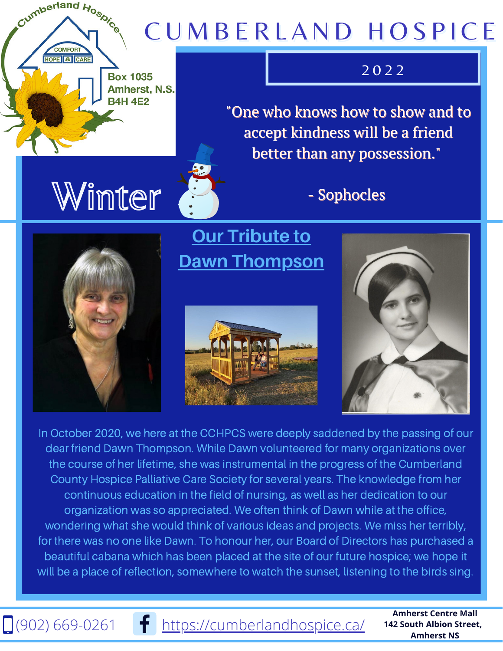## CUMBERLAND HOSPICE

#### $\overline{2}$  0 2 2

"One who knows how to show and to accept kindness will be a friend better than any possession."

# Winter

**Box 1035** Amherst, N.S.

**B4H 4E2** 

Cumberland Hospice

COMEOP **HOPE & CARE** 

### - Sophocles

**Our Tribute to Dawn Thompson**





In October 2020, we here at the CCHPCS were deeply saddened by the passing of our dear friend Dawn Thompson. While Dawn volunteered for many organizations over the course of her lifetime, she was instrumental in the progress of the Cumberland County Hospice Palliative Care Society for several years. The knowledge from her continuous education in the field of nursing, as well as her dedication to our organization was so appreciated. We often think of Dawn while at the office, wondering what she would think of various ideas and projects. We miss her terribly, for there was no one like Dawn. To honour her, our Board of Directors has purchased a beautiful cabana which has been placed at the site of our future hospice; we hope it will be a place of reflection, somewhere to watch the sunset, listening to the birds sing.

 $\Box$ (902) 669-0261 **f** <https://cumberlandhospice.ca/>

**Amherst Centre Mall 142 South Albion Street, Amherst NS**